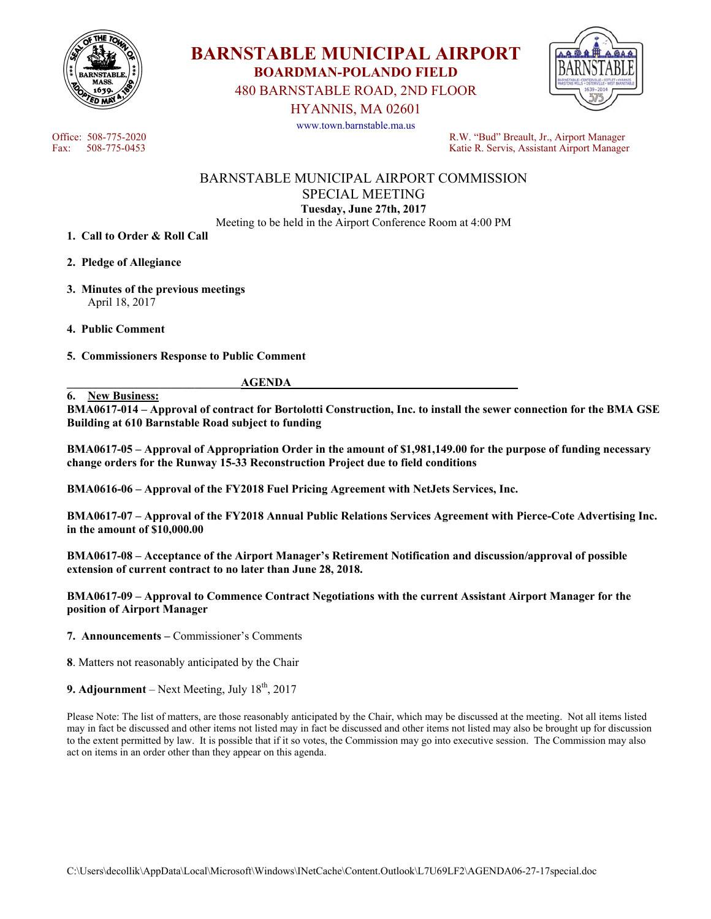



480 BARNSTABLE ROAD, 2ND FLOOR

HYANNIS, MA 02601



www.town.barnstable.ma.us

Office: 508-775-2020<br>
Fax: 508-775-0453<br>
Fax: 508-775-0453<br>
R.W. "Bud" Breault, Jr., Airport Manager Katie R. Servis, Assistant Airport Manager

# BARNSTABLE MUNICIPAL AIRPORT COMMISSION SPECIAL MEETING **Tuesday, June 27th, 2017**

Meeting to be held in the Airport Conference Room at 4:00 PM

- **1. Call to Order & Roll Call**
- **2. Pledge of Allegiance**
- **3. Minutes of the previous meetings**  April 18, 2017
- **4. Public Comment**
- **5. Commissioners Response to Public Comment**

#### **6. New Business:**

 ${\bf \overline{AGENDA}}$ 

**BMA0617-014 – Approval of contract for Bortolotti Construction, Inc. to install the sewer connection for the BMA GSE Building at 610 Barnstable Road subject to funding**

**BMA0617-05 – Approval of Appropriation Order in the amount of \$1,981,149.00 for the purpose of funding necessary change orders for the Runway 15-33 Reconstruction Project due to field conditions** 

**BMA0616-06 – Approval of the FY2018 Fuel Pricing Agreement with NetJets Services, Inc.** 

**BMA0617-07 – Approval of the FY2018 Annual Public Relations Services Agreement with Pierce-Cote Advertising Inc. in the amount of \$10,000.00** 

**BMA0617-08 – Acceptance of the Airport Manager's Retirement Notification and discussion/approval of possible extension of current contract to no later than June 28, 2018.** 

**BMA0617-09 – Approval to Commence Contract Negotiations with the current Assistant Airport Manager for the position of Airport Manager** 

**7. Announcements –** Commissioner's Comments

**8**. Matters not reasonably anticipated by the Chair

**9. Adjournment** – Next Meeting, July  $18<sup>th</sup>$ , 2017

Please Note: The list of matters, are those reasonably anticipated by the Chair, which may be discussed at the meeting. Not all items listed may in fact be discussed and other items not listed may in fact be discussed and other items not listed may also be brought up for discussion to the extent permitted by law. It is possible that if it so votes, the Commission may go into executive session. The Commission may also act on items in an order other than they appear on this agenda.